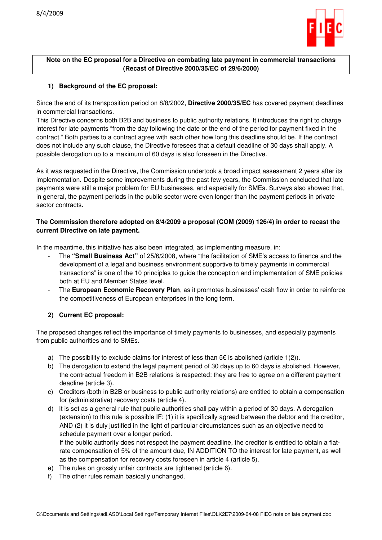

## **Note on the EC proposal for a Directive on combating late payment in commercial transactions (Recast of Directive 2000/35/EC of 29/6/2000)**

# **1) Background of the EC proposal:**

Since the end of its transposition period on 8/8/2002, **Directive 2000/35/EC** has covered payment deadlines in commercial transactions.

This Directive concerns both B2B and business to public authority relations. It introduces the right to charge interest for late payments "from the day following the date or the end of the period for payment fixed in the contract." Both parties to a contract agree with each other how long this deadline should be. If the contract does not include any such clause, the Directive foresees that a default deadline of 30 days shall apply. A possible derogation up to a maximum of 60 days is also foreseen in the Directive.

As it was requested in the Directive, the Commission undertook a broad impact assessment 2 years after its implementation. Despite some improvements during the past few years, the Commission concluded that late payments were still a major problem for EU businesses, and especially for SMEs. Surveys also showed that, in general, the payment periods in the public sector were even longer than the payment periods in private sector contracts.

#### **The Commission therefore adopted on 8/4/2009 a proposal (COM (2009) 126/4) in order to recast the current Directive on late payment.**

In the meantime, this initiative has also been integrated, as implementing measure, in:

- The **"Small Business Act"** of 25/6/2008, where "the facilitation of SME's access to finance and the development of a legal and business environment supportive to timely payments in commercial transactions" is one of the 10 principles to guide the conception and implementation of SME policies both at EU and Member States level.
- The **European Economic Recovery Plan**, as it promotes businesses' cash flow in order to reinforce the competitiveness of European enterprises in the long term.

## **2) Current EC proposal:**

The proposed changes reflect the importance of timely payments to businesses, and especially payments from public authorities and to SMEs.

- a) The possibility to exclude claims for interest of less than  $5 \epsilon$  is abolished (article 1(2)).
- b) The derogation to extend the legal payment period of 30 days up to 60 days is abolished. However, the contractual freedom in B2B relations is respected: they are free to agree on a different payment deadline (article 3).
- c) Creditors (both in B2B or business to public authority relations) are entitled to obtain a compensation for (administrative) recovery costs (article 4).
- d) It is set as a general rule that public authorities shall pay within a period of 30 days. A derogation (extension) to this rule is possible IF: (1) it is specifically agreed between the debtor and the creditor, AND (2) it is duly justified in the light of particular circumstances such as an objective need to schedule payment over a longer period.

If the public authority does not respect the payment deadline, the creditor is entitled to obtain a flatrate compensation of 5% of the amount due, IN ADDITION TO the interest for late payment, as well as the compensation for recovery costs foreseen in article 4 (article 5).

- e) The rules on grossly unfair contracts are tightened (article 6).
- f) The other rules remain basically unchanged.